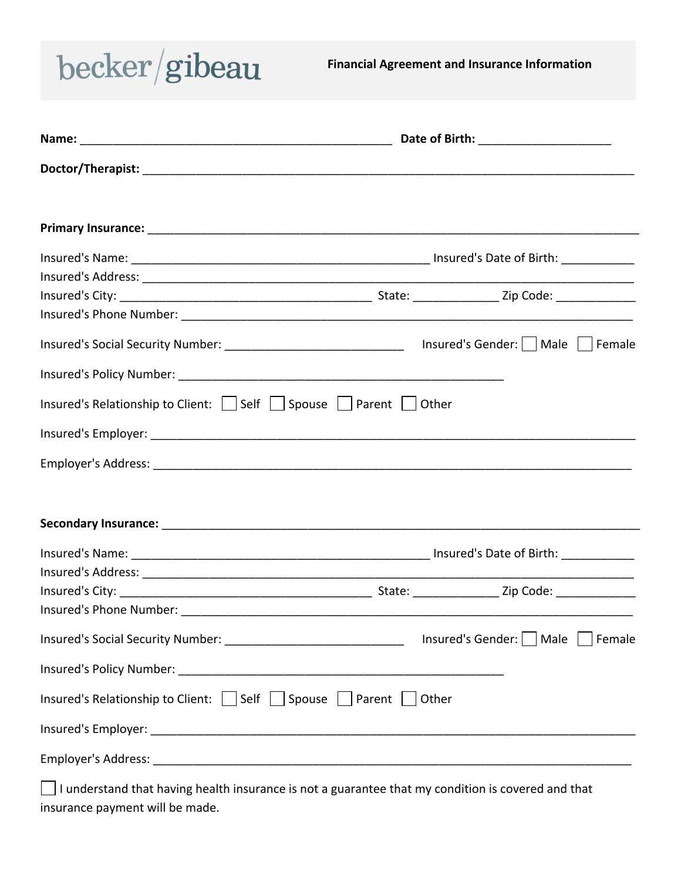

**Financial Agreement and Insurance Information**

| Insured's Social Security Number: __________________________________ Insured's Gender:   Male   Female                                     |                                       |  |
|--------------------------------------------------------------------------------------------------------------------------------------------|---------------------------------------|--|
|                                                                                                                                            |                                       |  |
| Insured's Relationship to Client: $\vert \cdot \vert$ Self $\vert \cdot \vert$ Spouse $\vert \cdot \vert$ Parent $\vert \cdot \vert$ Other |                                       |  |
|                                                                                                                                            |                                       |  |
|                                                                                                                                            |                                       |  |
|                                                                                                                                            |                                       |  |
|                                                                                                                                            |                                       |  |
|                                                                                                                                            |                                       |  |
|                                                                                                                                            |                                       |  |
|                                                                                                                                            |                                       |  |
|                                                                                                                                            |                                       |  |
|                                                                                                                                            | Insured's Gender:     Male     Female |  |
|                                                                                                                                            |                                       |  |
| Insured's Relationship to Client:   Self   Spouse   Parent   Other                                                                         |                                       |  |
|                                                                                                                                            |                                       |  |
|                                                                                                                                            |                                       |  |
| I understand that having health insurance is not a guarantee that my condition is covered and that                                         |                                       |  |

insurance payment will be made.